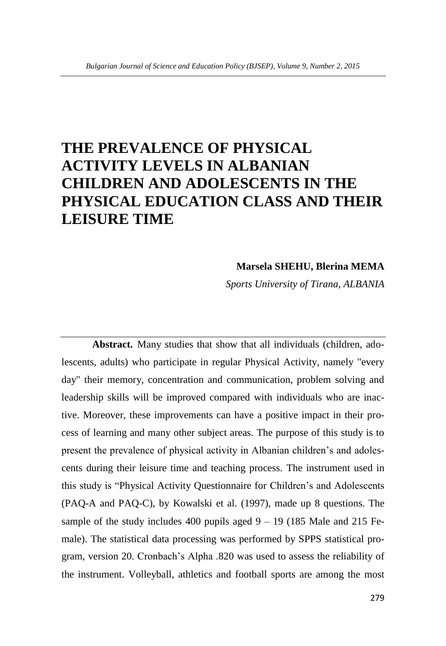# **THE PREVALENCE OF PHYSICAL ACTIVITY LEVELS IN ALBANIAN CHILDREN AND ADOLESCENTS IN THE PHYSICAL EDUCATION CLASS AND THEIR LEISURE TIME**

# **Marsela SHEHU, Blerina MEMA**

*Sports University of Tirana, ALBANIA*

**Abstract.** Many studies that show that all individuals (children, adolescents, adults) who participate in regular Physical Activity, namely "every day" their memory, concentration and communication, problem solving and leadership skills will be improved compared with individuals who are inactive. Moreover, these improvements can have a positive impact in their process of learning and many other subject areas. The purpose of this study is to present the prevalence of physical activity in Albanian children's and adolescents during their leisure time and teaching process. The instrument used in this study is "Physical Activity Questionnaire for Children's and Adolescents (PAQ-A and PAQ-C), by Kowalski et al. (1997), made up 8 questions. The sample of the study includes 400 pupils aged  $9 - 19$  (185 Male and 215 Female). The statistical data processing was performed by SPPS statistical program, version 20. Cronbach's Alpha .820 was used to assess the reliability of the instrument. Volleyball, athletics and football sports are among the most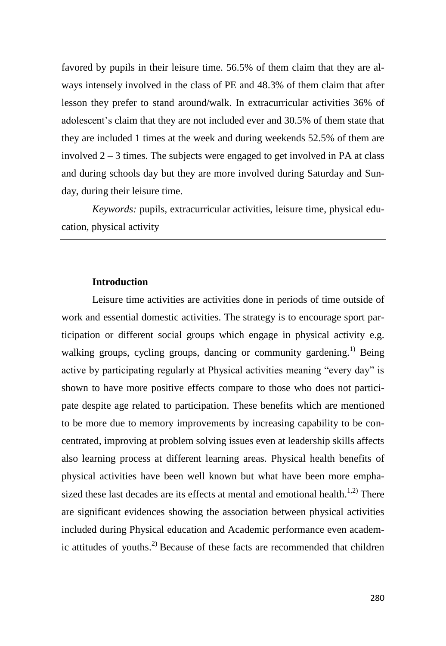favored by pupils in their leisure time. 56.5% of them claim that they are always intensely involved in the class of PE and 48.3% of them claim that after lesson they prefer to stand around/walk. In extracurricular activities 36% of adolescent's claim that they are not included ever and 30.5% of them state that they are included 1 times at the week and during weekends 52.5% of them are involved  $2 - 3$  times. The subjects were engaged to get involved in PA at class and during schools day but they are more involved during Saturday and Sunday, during their leisure time.

*Keywords:* pupils, extracurricular activities, leisure time, physical education, physical activity

# **Introduction**

Leisure time activities are activities done in periods of time outside of work and essential domestic activities. The strategy is to encourage sport participation or different social groups which engage in physical activity e.g. walking groups, cycling groups, dancing or community gardening.<sup>1)</sup> Being active by participating regularly at Physical activities meaning "every day" is shown to have more positive effects compare to those who does not participate despite age related to participation. These benefits which are mentioned to be more due to memory improvements by increasing capability to be concentrated, improving at problem solving issues even at leadership skills affects also learning process at different learning areas. Physical health benefits of physical activities have been well known but what have been more emphasized these last decades are its effects at mental and emotional health.<sup>1,2)</sup> There are significant evidences showing the association between physical activities included during Physical education and Academic performance even academic attitudes of youths. 2) Because of these facts are recommended that children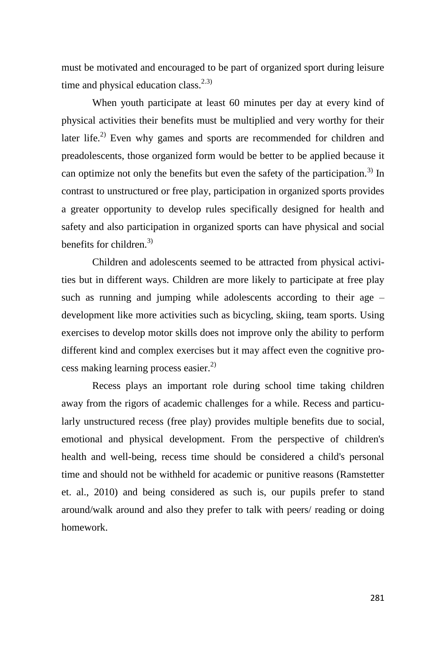must be motivated and encouraged to be part of organized sport during leisure time and physical education class. $2.3$ )

When youth participate at least 60 minutes per day at every kind of physical activities their benefits must be multiplied and very worthy for their later life.<sup>2)</sup> Even why games and sports are recommended for children and preadolescents, those organized form would be better to be applied because it can optimize not only the benefits but even the safety of the participation.<sup>3)</sup> In contrast to unstructured or free play, participation in organized sports provides a greater opportunity to develop rules specifically designed for health and safety and also participation in organized sports can have physical and social benefits for children. $^{3)}$ 

Children and adolescents seemed to be attracted from physical activities but in different ways. Children are more likely to participate at free play such as running and jumping while adolescents according to their age – development like more activities such as bicycling, skiing, team sports. Using exercises to develop motor skills does not improve only the ability to perform different kind and complex exercises but it may affect even the cognitive process making learning process easier.2)

Recess plays an important role during school time taking children away from the rigors of academic challenges for a while. Recess and particularly unstructured recess (free play) provides multiple benefits due to social, emotional and physical development. From the perspective of children's health and well-being, recess time should be considered a child's personal time and should not be withheld for academic or punitive reasons (Ramstetter et. al., 2010) and being considered as such is, our pupils prefer to stand around/walk around and also they prefer to talk with peers/ reading or doing homework.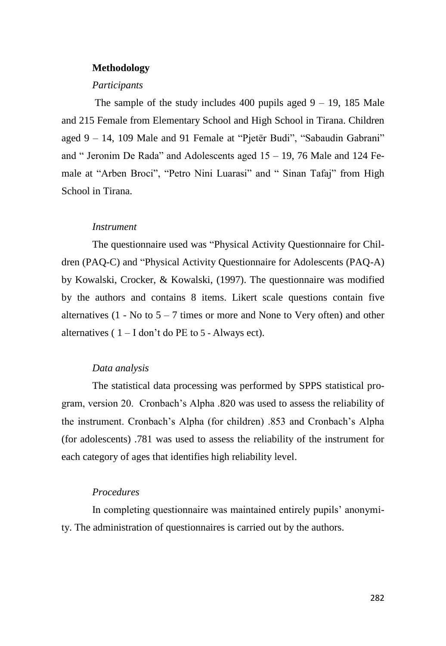#### **Methodology**

#### *Participants*

The sample of the study includes  $400$  pupils aged  $9 - 19$ , 185 Male and 215 Female from Elementary School and High School in Tirana. Children aged 9 – 14, 109 Male and 91 Female at "Pjetër Budi", "Sabaudin Gabrani" and " Jeronim De Rada" and Adolescents aged  $15 - 19$ , 76 Male and 124 Female at "Arben Broci", "Petro Nini Luarasi" and " Sinan Tafaj" from High School in Tirana.

### *Instrument*

The questionnaire used was "Physical Activity Questionnaire for Children (PAQ-C) and "Physical Activity Questionnaire for Adolescents (PAQ-A) by Kowalski, Crocker, & Kowalski, (1997). The questionnaire was modified by the authors and contains 8 items. Likert scale questions contain five alternatives (1 - No to  $5 - 7$  times or more and None to Very often) and other alternatives  $(1 - I \text{ don't do PE to 5 - Alwaysect}).$ 

# *Data analysis*

The statistical data processing was performed by SPPS statistical program, version 20. Cronbach's Alpha .820 was used to assess the reliability of the instrument. Cronbach's Alpha (for children) .853 and Cronbach's Alpha (for adolescents) .781 was used to assess the reliability of the instrument for each category of ages that identifies high reliability level.

# *Procedures*

In completing questionnaire was maintained entirely pupils' anonymity. The administration of questionnaires is carried out by the authors.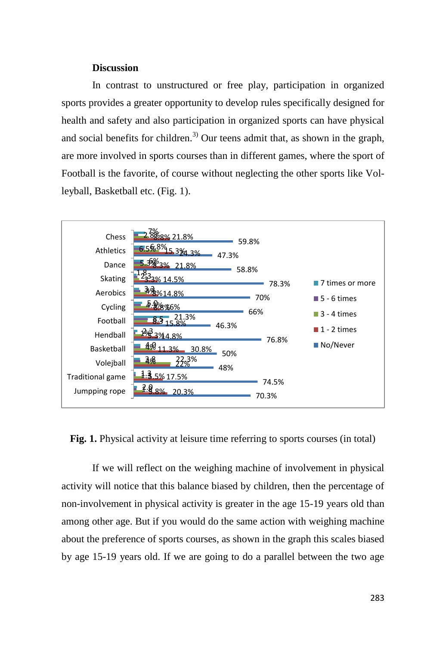## **Discussion**

In contrast to unstructured or free play, participation in organized sports provides a greater opportunity to develop rules specifically designed for health and safety and also participation in organized sports can have physical and social benefits for children.<sup>3)</sup> Our teens admit that, as shown in the graph, are more involved in sports courses than in different games, where the sport of Football is the favorite, of course without neglecting the other sports like Volleyball, Basketball etc. (Fig. 1).



**Fig. 1.** Physical activity at leisure time referring to sports courses (in total)

If we will reflect on the weighing machine of involvement in physical activity will notice that this balance biased by children, then the percentage of non-involvement in physical activity is greater in the age 15-19 years old than among other age. But if you would do the same action with weighing machine about the preference of sports courses, as shown in the graph this scales biased by age 15-19 years old. If we are going to do a parallel between the two age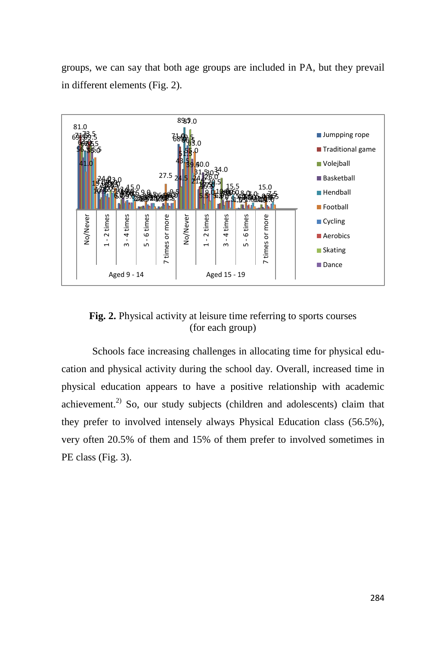groups, we can say that both age groups are included in PA, but they prevail in different elements (Fig. 2).



**Fig. 2.** Physical activity at leisure time referring to sports courses (for each group)

Schools face increasing challenges in allocating time for physical education and physical activity during the school day. Overall, increased time in physical education appears to have a positive relationship with academic achievement.<sup>2)</sup> So, our study subjects (children and adolescents) claim that they prefer to involved intensely always Physical Education class (56.5%), very often 20.5% of them and 15% of them prefer to involved sometimes in  $\begin{array}{r} \n\begin{array}{r}\n\text{B} \\
\text{B} \\
\text{C} \\
\text{D} \\
\text{D} \\
\text{E} \\
\text{D} \\
\text{E} \\
\text{D} \\
\text{D} \\
\text{D} \\
\text{D} \\
\text{D} \\
\text{D} \\
\text{E} \\
\text{E} \\
\text{D} \\
\text{D} \\
\text{E} \\
\text{E} \\
\text{D} \\
\text{E} \\
\text{E} \\
\text{D} \\
\text{E} \\
\text{D} \\
\text{E} \\
\text{E} \\
\text{E} \\
\text{E} \\
\text{E} \\
\text{E} \\
\text{E} \\
\text{E}$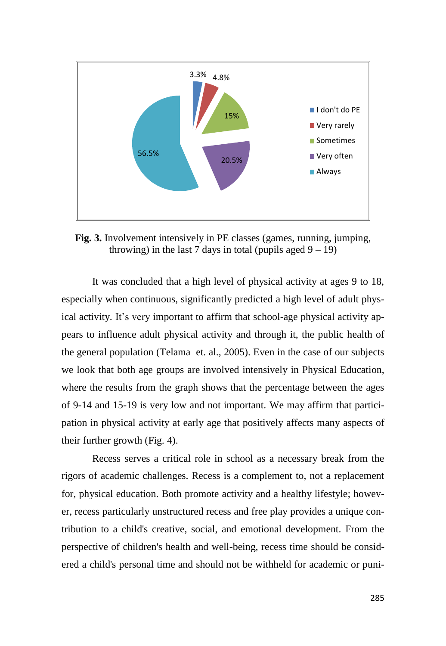

**Fig. 3.** Involvement intensively in PE classes (games, running, jumping, throwing) in the last 7 days in total (pupils aged  $9 - 19$ )

It was concluded that a high level of physical activity at ages 9 to 18, especially when continuous, significantly predicted a high level of adult physical activity. It's very important to affirm that school-age physical activity appears to influence adult physical activity and through it, the public health of the general population (Telama [e](http://www.sciencedirect.com/science/article/pii/S0749379704003393)t. al., 2005). Even in the case of our subjects we look that both age groups are involved intensively in Physical Education, where the results from the graph shows that the percentage between the ages of 9-14 and 15-19 is very low and not important. We may affirm that participation in physical activity at early age that positively affects many aspects of their further growth (Fig. 4).

Recess serves a critical role in school as a necessary break from the rigors of academic challenges. Recess is a complement to, not a replacement for, physical education. Both promote activity and a healthy lifestyle; however, recess particularly unstructured recess and free play provides a unique contribution to a child's creative, social, and emotional development. From the perspective of children's health and well-being, recess time should be considered a child's personal time and should not be withheld for academic or puni-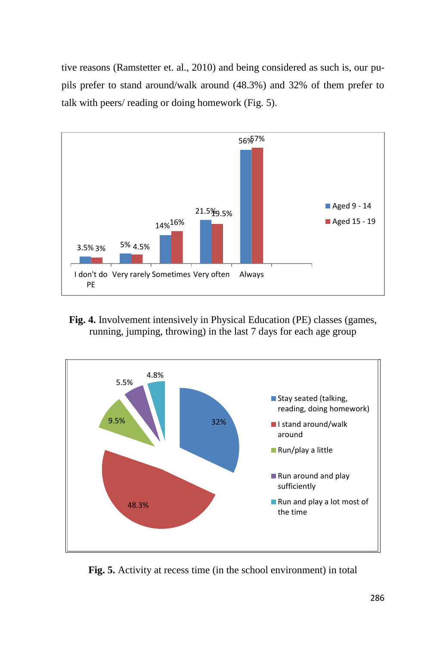tive reasons (Ramstetter et. al., 2010) and being considered as such is, our pupils prefer to stand around/walk around (48.3%) and 32% of them prefer to talk with peers/ reading or doing homework (Fig. 5).



**Fig. 4.** Involvement intensively in Physical Education (PE) classes (games, running, jumping, throwing) in the last 7 days for each age group



**Fig. 5.** Activity at recess time (in the school environment) in total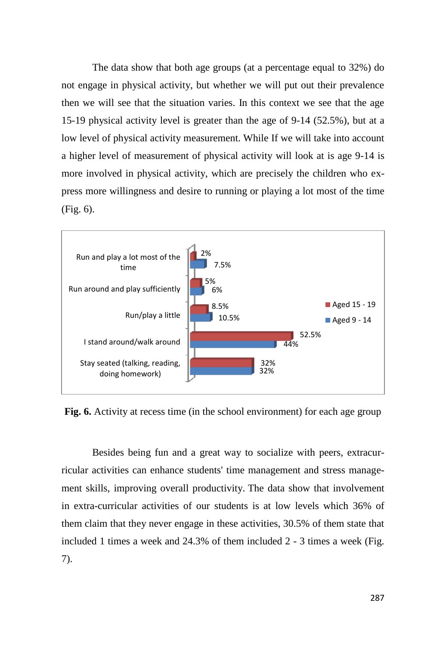The data show that both age groups (at a percentage equal to 32%) do not engage in physical activity, but whether we will put out their prevalence then we will see that the situation varies. In this context we see that the age 15-19 physical activity level is greater than the age of 9-14 (52.5%), but at a low level of physical activity measurement. While If we will take into account a higher level of measurement of physical activity will look at is age 9-14 is more involved in physical activity, which are precisely the children who express more willingness and desire to running or playing a lot most of the time (Fig. 6).



**Fig. 6.** Activity at recess time (in the school environment) for each age group

Besides being fun and a great way to socialize with peers, extracurricular activities can enhance students' time management and stress management skills, improving overall productivity. The data show that involvement in extra-curricular activities of our students is at low levels which 36% of them claim that they never engage in these activities, 30.5% of them state that included 1 times a week and 24.3% of them included 2 - 3 times a week (Fig. 7).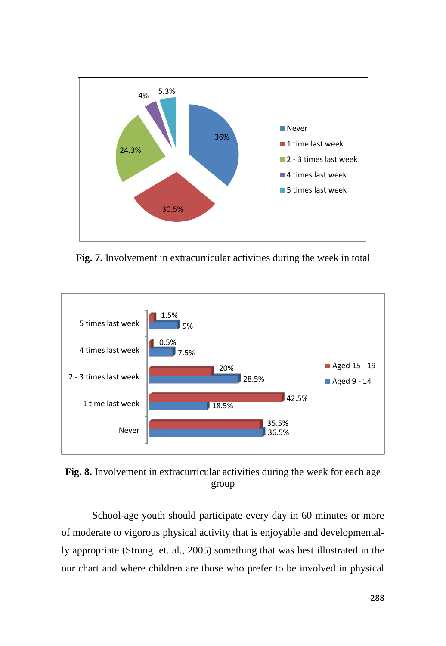

**Fig. 7.** Involvement in extracurricular activities during the week in total



**Fig. 8.** Involvement in extracurricular activities during the week for each age group

School-age youth should participate every day in 60 minutes or more of moderate to vigorous physical activity that is enjoyable and developmentally appropriate (Strong et. al., 2005) something that was best illustrated in the our chart and where children are those who prefer to be involved in physical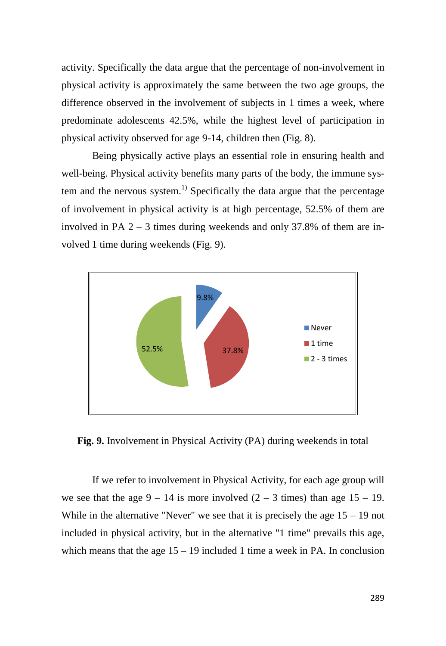activity. Specifically the data argue that the percentage of non-involvement in physical activity is approximately the same between the two age groups, the difference observed in the involvement of subjects in 1 times a week, where predominate adolescents 42.5%, while the highest level of participation in physical activity observed for age 9-14, children then (Fig. 8).

Being physically active plays an essential role in ensuring health and well-being. Physical activity benefits many parts of the body, the immune system and the nervous system.<sup>1)</sup> Specifically the data argue that the percentage of involvement in physical activity is at high percentage, 52.5% of them are involved in PA 2 – 3 times during weekends and only 37.8% of them are involved 1 time during weekends (Fig. 9).



**Fig. 9.** Involvement in Physical Activity (PA) during weekends in total

If we refer to involvement in Physical Activity, for each age group will we see that the age  $9 - 14$  is more involved  $(2 - 3$  times) than age  $15 - 19$ . While in the alternative "Never" we see that it is precisely the age  $15 - 19$  not included in physical activity, but in the alternative "1 time" prevails this age, which means that the age  $15 - 19$  included 1 time a week in PA. In conclusion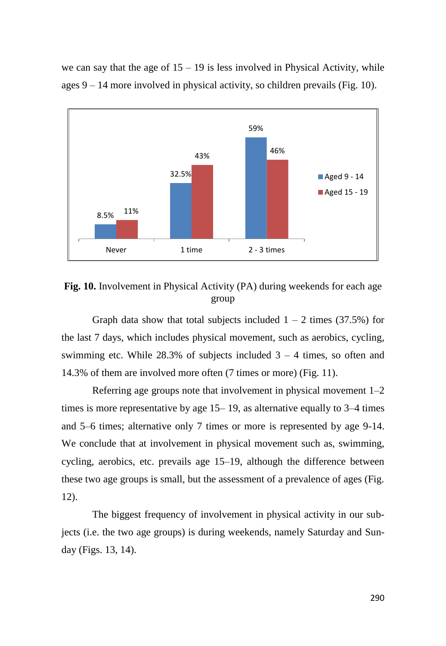we can say that the age of  $15 - 19$  is less involved in Physical Activity, while ages 9 – 14 more involved in physical activity, so children prevails (Fig. 10).



**Fig. 10.** Involvement in Physical Activity (PA) during weekends for each age group

Graph data show that total subjects included  $1 - 2$  times (37.5%) for the last 7 days, which includes physical movement, such as aerobics, cycling, swimming etc. While  $28.3\%$  of subjects included  $3 - 4$  times, so often and 14.3% of them are involved more often (7 times or more) (Fig. 11).

Referring age groups note that involvement in physical movement 1–2 times is more representative by age 15– 19, as alternative equally to 3–4 times and 5–6 times; alternative only 7 times or more is represented by age 9-14. We conclude that at involvement in physical movement such as, swimming, cycling, aerobics, etc. prevails age 15–19, although the difference between these two age groups is small, but the assessment of a prevalence of ages (Fig. 12).

The biggest frequency of involvement in physical activity in our subjects (i.e. the two age groups) is during weekends, namely Saturday and Sunday (Figs. 13, 14).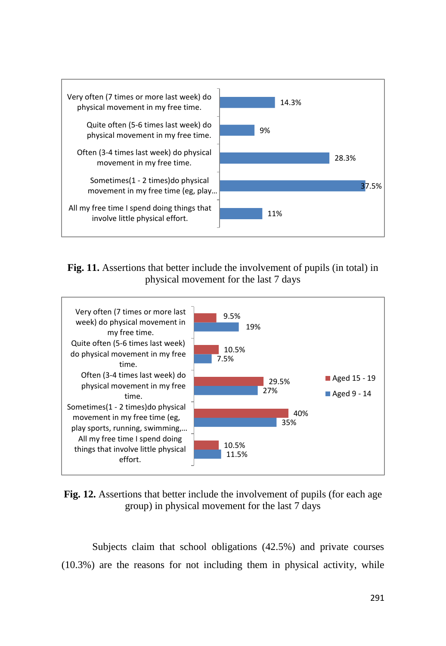

# **Fig. 11.** Assertions that better include the involvement of pupils (in total) in physical movement for the last 7 days



**Fig. 12.** Assertions that better include the involvement of pupils (for each age group) in physical movement for the last 7 days

Subjects claim that school obligations (42.5%) and private courses (10.3%) are the reasons for not including them in physical activity, while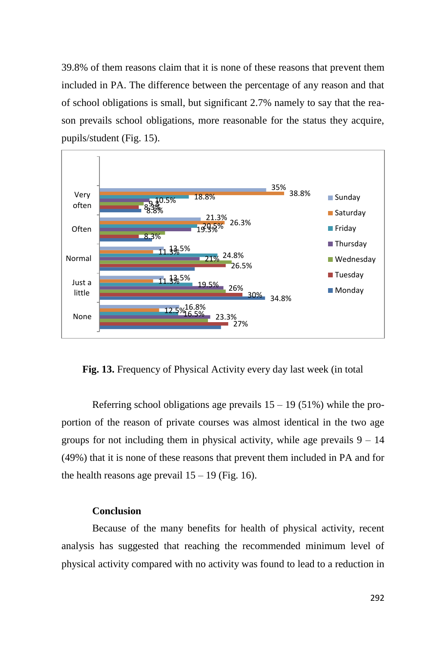39.8% of them reasons claim that it is none of these reasons that prevent them included in PA. The difference between the percentage of any reason and that of school obligations is small, but significant 2.7% namely to say that the reason prevails school obligations, more reasonable for the status they acquire, pupils/student (Fig. 15).



**Fig. 13.** Frequency of Physical Activity every day last week (in total

Referring school obligations age prevails  $15 - 19$  (51%) while the proportion of the reason of private courses was almost identical in the two age groups for not including them in physical activity, while age prevails  $9 - 14$ (49%) that it is none of these reasons that prevent them included in PA and for the health reasons age prevail  $15 - 19$  (Fig. 16).

# **Conclusion**

Because of the many benefits for health of physical activity, recent analysis has suggested that reaching the recommended minimum level of physical activity compared with no activity was found to lead to a reduction in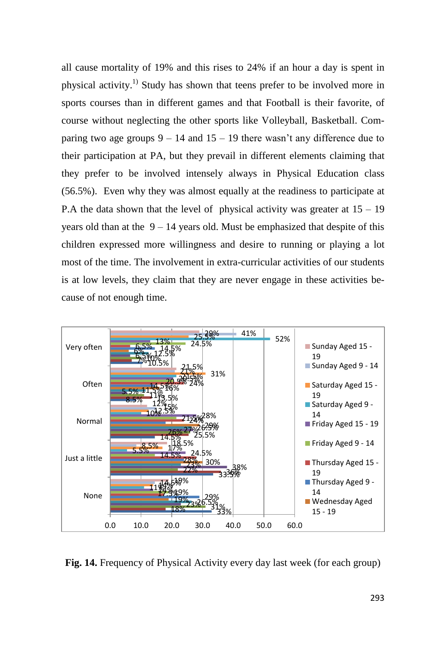all cause mortality of 19% and this rises to 24% if an hour a day is spent in physical activity.<sup>1)</sup> Study has shown that teens prefer to be involved more in sports courses than in different games and that Football is their favorite, of course without neglecting the other sports like Volleyball, Basketball. Comparing two age groups  $9 - 14$  and  $15 - 19$  there wasn't any difference due to their participation at PA, but they prevail in different elements claiming that they prefer to be involved intensely always in Physical Education class (56.5%). Even why they was almost equally at the readiness to participate at P.A the data shown that the level of physical activity was greater at  $15 - 19$ years old than at the  $9 - 14$  years old. Must be emphasized that despite of this children expressed more willingness and desire to running or playing a lot most of the time. The involvement in extra-curricular activities of our students is at low levels, they claim that they are never engage in these activities because of not enough time.



**Fig. 14.** Frequency of Physical Activity every day last week (for each group)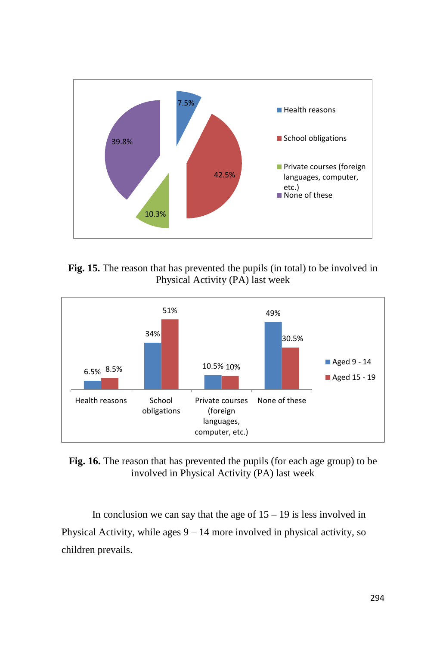





**Fig. 16.** The reason that has prevented the pupils (for each age group) to be involved in Physical Activity (PA) last week

In conclusion we can say that the age of  $15 - 19$  is less involved in Physical Activity, while ages  $9 - 14$  more involved in physical activity, so children prevails.